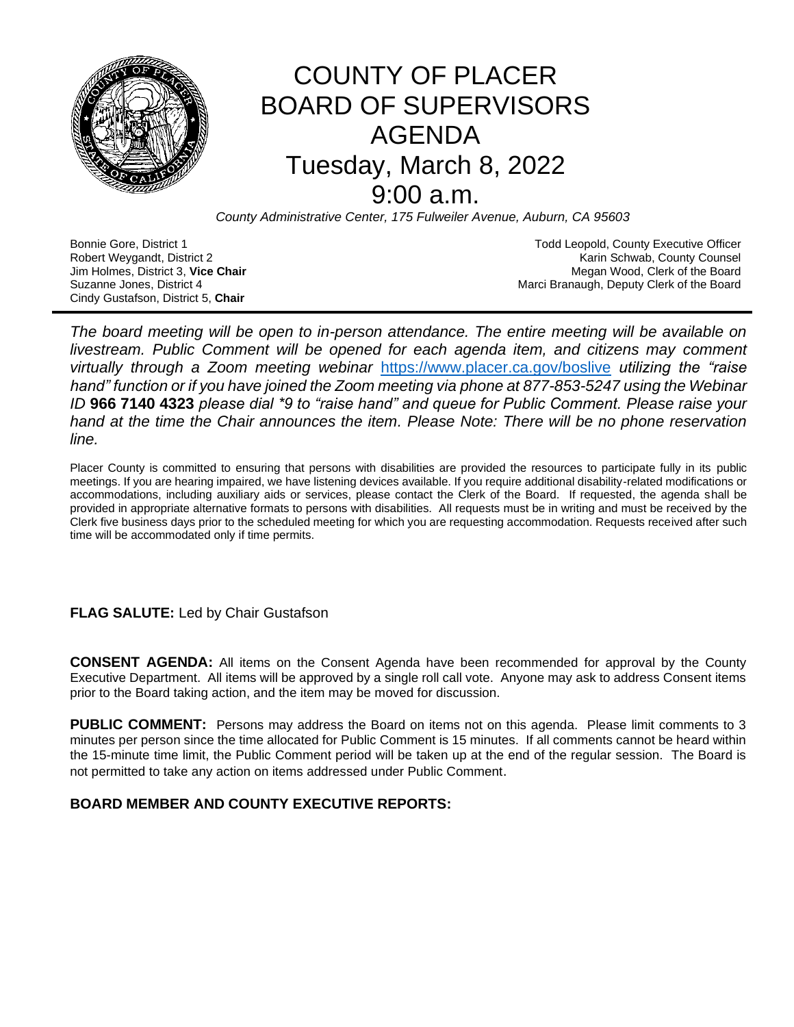

# COUNTY OF PLACER BOARD OF SUPERVISORS AGENDA Tuesday, March 8, 2022 9:00 a.m.

*County Administrative Center, 175 Fulweiler Avenue, Auburn, CA 95603*

Cindy Gustafson, District 5, **Chair**

Bonnie Gore, District 1 **Todd Leopold, County Executive Officer Todd Leopold, County Executive Officer** Robert Weygandt, District 2 Karin Schwab, County Counsel Jim Holmes, District 3, **Vice Chair** Megan Wood, Clerk of the Board Suzanne Jones, District 4 **March 2018** Marci Branaugh, Deputy Clerk of the Board

*The board meeting will be open to in-person attendance. The entire meeting will be available on livestream. Public Comment will be opened for each agenda item, and citizens may comment virtually through a Zoom meeting webinar* <https://www.placer.ca.gov/boslive> *utilizing the "raise hand" function or if you have joined the Zoom meeting via phone at 877-853-5247 using the Webinar ID* **966 7140 4323** *please dial \*9 to "raise hand" and queue for Public Comment. Please raise your hand at the time the Chair announces the item. Please Note: There will be no phone reservation line.* 

Placer County is committed to ensuring that persons with disabilities are provided the resources to participate fully in its public meetings. If you are hearing impaired, we have listening devices available. If you require additional disability-related modifications or accommodations, including auxiliary aids or services, please contact the Clerk of the Board. If requested, the agenda shall be provided in appropriate alternative formats to persons with disabilities. All requests must be in writing and must be received by the Clerk five business days prior to the scheduled meeting for which you are requesting accommodation. Requests received after such time will be accommodated only if time permits.

# **FLAG SALUTE:** Led by Chair Gustafson

**CONSENT AGENDA:** All items on the Consent Agenda have been recommended for approval by the County Executive Department. All items will be approved by a single roll call vote. Anyone may ask to address Consent items prior to the Board taking action, and the item may be moved for discussion.

**PUBLIC COMMENT:** Persons may address the Board on items not on this agenda. Please limit comments to 3 minutes per person since the time allocated for Public Comment is 15 minutes. If all comments cannot be heard within the 15-minute time limit, the Public Comment period will be taken up at the end of the regular session. The Board is not permitted to take any action on items addressed under Public Comment.

# **BOARD MEMBER AND COUNTY EXECUTIVE REPORTS:**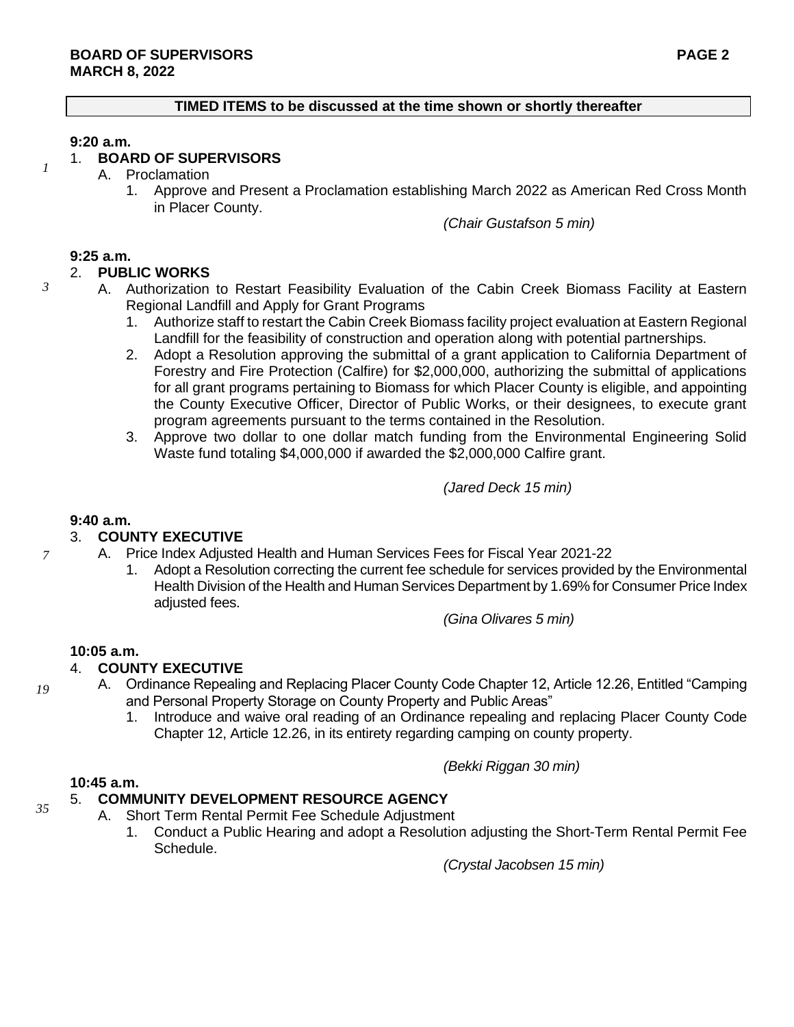#### **TIMED ITEMS to be discussed at the time shown or shortly thereafter**

#### **9:20 a.m.**

*1*

*3*

# 1. **BOARD OF SUPERVISORS**

- A. Proclamation
	- 1. Approve and Present a Proclamation establishing March 2022 as American Red Cross Month in Placer County.

*(Chair Gustafson 5 min)*

### **9:25 a.m.**

# 2. **PUBLIC WORKS**

- A. Authorization to Restart Feasibility Evaluation of the Cabin Creek Biomass Facility at Eastern Regional Landfill and Apply for Grant Programs
	- 1. Authorize staff to restart the Cabin Creek Biomass facility project evaluation at Eastern Regional Landfill for the feasibility of construction and operation along with potential partnerships.
	- 2. Adopt a Resolution approving the submittal of a grant application to California Department of Forestry and Fire Protection (Calfire) for \$2,000,000, authorizing the submittal of applications for all grant programs pertaining to Biomass for which Placer County is eligible, and appointing the County Executive Officer, Director of Public Works, or their designees, to execute grant program agreements pursuant to the terms contained in the Resolution.
	- 3. Approve two dollar to one dollar match funding from the Environmental Engineering Solid Waste fund totaling \$4,000,000 if awarded the \$2,000,000 Calfire grant.

*(Jared Deck 15 min)*

#### **9:40 a.m.**

#### 3. **COUNTY EXECUTIVE**

- A. Price Index Adjusted Health and Human Services Fees for Fiscal Year 2021-22
	- 1. Adopt a Resolution correcting the current fee schedule for services provided by the Environmental Health Division of the Health and Human Services Department by 1.69% for Consumer Price Index adjusted fees.

*(Gina Olivares 5 min)*

#### **10:05 a.m.**

### 4. **COUNTY EXECUTIVE**

- A. Ordinance Repealing and Replacing Placer County Code Chapter 12, Article 12.26, Entitled "Camping and Personal Property Storage on County Property and Public Areas"
	- 1. Introduce and waive oral reading of an Ordinance repealing and replacing Placer County Code Chapter 12, Article 12.26, in its entirety regarding camping on county property.

*(Bekki Riggan 30 min)* 

#### **10:45 a.m.**

#### 5. **COMMUNITY DEVELOPMENT RESOURCE AGENCY**

- A. Short Term Rental Permit Fee Schedule Adjustment
	- 1. Conduct a Public Hearing and adopt a Resolution adjusting the Short-Term Rental Permit Fee Schedule.

*(Crystal Jacobsen 15 min)*

*19*

*35*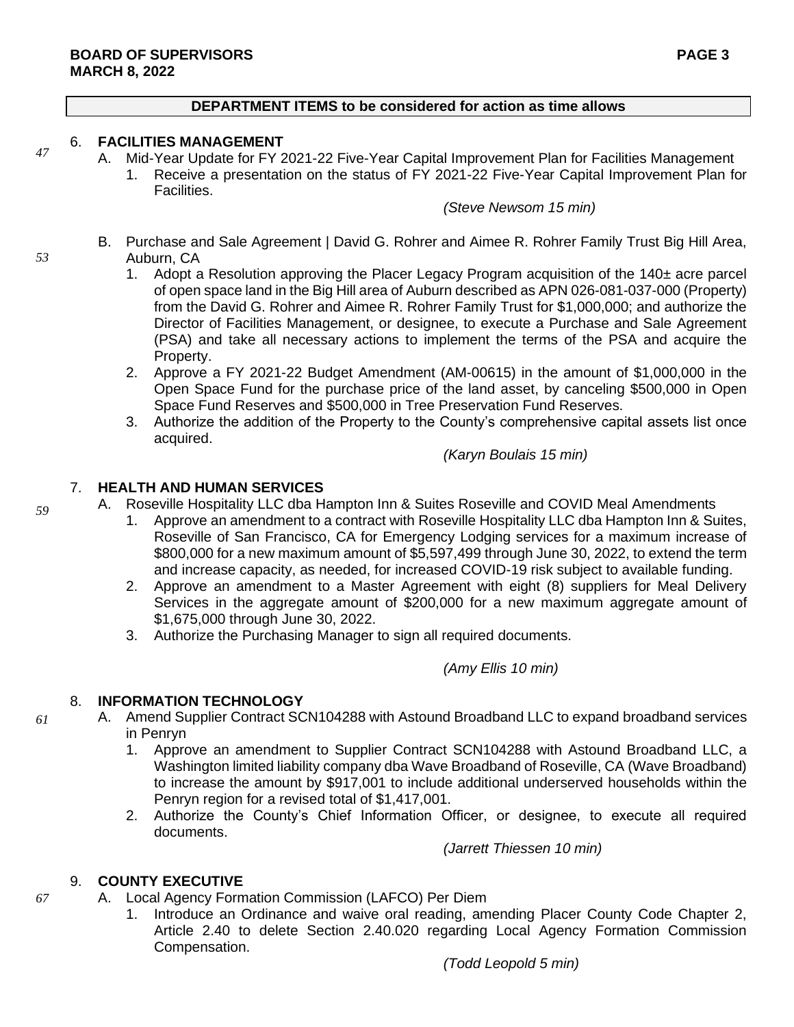#### **DEPARTMENT ITEMS to be considered for action as time allows**

# 6. **FACILITIES MANAGEMENT**

- A. Mid-Year Update for FY 2021-22 Five-Year Capital Improvement Plan for Facilities Management
	- 1. Receive a presentation on the status of FY 2021-22 Five-Year Capital Improvement Plan for Facilities.

### *(Steve Newsom 15 min)*

- B. Purchase and Sale Agreement | David G. Rohrer and Aimee R. Rohrer Family Trust Big Hill Area, Auburn, CA
	- 1. Adopt a Resolution approving the Placer Legacy Program acquisition of the 140± acre parcel of open space land in the Big Hill area of Auburn described as APN 026-081-037-000 (Property) from the David G. Rohrer and Aimee R. Rohrer Family Trust for \$1,000,000; and authorize the Director of Facilities Management, or designee, to execute a Purchase and Sale Agreement (PSA) and take all necessary actions to implement the terms of the PSA and acquire the Property.
	- 2. Approve a FY 2021-22 Budget Amendment (AM-00615) in the amount of \$1,000,000 in the Open Space Fund for the purchase price of the land asset, by canceling \$500,000 in Open Space Fund Reserves and \$500,000 in Tree Preservation Fund Reserves.
	- 3. Authorize the addition of the Property to the County's comprehensive capital assets list once acquired.

*(Karyn Boulais 15 min)*

#### 7. **HEALTH AND HUMAN SERVICES**

- A. Roseville Hospitality LLC dba Hampton Inn & Suites Roseville and COVID Meal Amendments
	- 1. Approve an amendment to a contract with Roseville Hospitality LLC dba Hampton Inn & Suites, Roseville of San Francisco, CA for Emergency Lodging services for a maximum increase of \$800,000 for a new maximum amount of \$5,597,499 through June 30, 2022, to extend the term and increase capacity, as needed, for increased COVID-19 risk subject to available funding.
	- 2. Approve an amendment to a Master Agreement with eight (8) suppliers for Meal Delivery Services in the aggregate amount of \$200,000 for a new maximum aggregate amount of \$1,675,000 through June 30, 2022.
	- 3. Authorize the Purchasing Manager to sign all required documents.

*(Amy Ellis 10 min)*

### 8. **INFORMATION TECHNOLOGY**

- A. Amend Supplier Contract SCN104288 with Astound Broadband LLC to expand broadband services in Penryn
	- 1. Approve an amendment to Supplier Contract SCN104288 with Astound Broadband LLC, a Washington limited liability company dba Wave Broadband of Roseville, CA (Wave Broadband) to increase the amount by \$917,001 to include additional underserved households within the Penryn region for a revised total of \$1,417,001.
	- 2. Authorize the County's Chief Information Officer, or designee, to execute all required documents.

*(Jarrett Thiessen 10 min)*

#### 9. **COUNTY EXECUTIVE**

- A. Local Agency Formation Commission (LAFCO) Per Diem
	- 1. Introduce an Ordinance and waive oral reading, amending Placer County Code Chapter 2, Article 2.40 to delete Section 2.40.020 regarding Local Agency Formation Commission Compensation.

*67*

*61*

*59*

*47*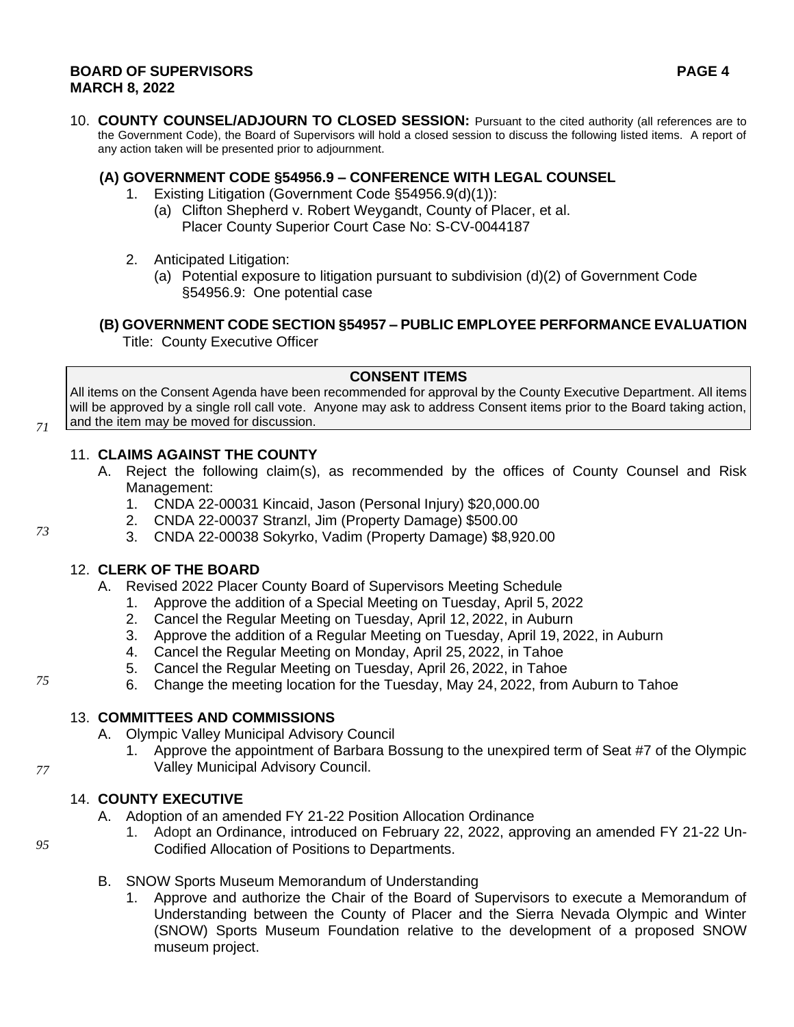#### **BOARD OF SUPERVISORS PAGE 4 MARCH 8, 2022**

10. **COUNTY COUNSEL/ADJOURN TO CLOSED SESSION:** Pursuant to the cited authority (all references are to the Government Code), the Board of Supervisors will hold a closed session to discuss the following listed items. A report of any action taken will be presented prior to adjournment.

# **(A) GOVERNMENT CODE §54956.9 – CONFERENCE WITH LEGAL COUNSEL**

- 1. Existing Litigation (Government Code §54956.9(d)(1)):
	- (a) Clifton Shepherd v. Robert Weygandt, County of Placer, et al. Placer County Superior Court Case No: S-CV-0044187
- 2. Anticipated Litigation:
	- (a) Potential exposure to litigation pursuant to subdivision (d)(2) of Government Code §54956.9: One potential case

**(B) GOVERNMENT CODE SECTION §54957 – PUBLIC EMPLOYEE PERFORMANCE EVALUATION** Title: County Executive Officer

### **CONSENT ITEMS**

All items on the Consent Agenda have been recommended for approval by the County Executive Department. All items will be approved by a single roll call vote. Anyone may ask to address Consent items prior to the Board taking action, and the item may be moved for discussion.

# 11. **CLAIMS AGAINST THE COUNTY**

- A. Reject the following claim(s), as recommended by the offices of County Counsel and Risk Management:
	- 1. CNDA 22-00031 Kincaid, Jason (Personal Injury) \$20,000.00
	- 2. CNDA 22-00037 Stranzl, Jim (Property Damage) \$500.00
	- 3. CNDA 22-00038 Sokyrko, Vadim (Property Damage) \$8,920.00

# 12. **CLERK OF THE BOARD**

- A. Revised 2022 Placer County Board of Supervisors Meeting Schedule
	- 1. Approve the addition of a Special Meeting on Tuesday, April 5, 2022
	- 2. Cancel the Regular Meeting on Tuesday, April 12, 2022, in Auburn
	- 3. Approve the addition of a Regular Meeting on Tuesday, April 19, 2022, in Auburn
	- 4. Cancel the Regular Meeting on Monday, April 25, 2022, in Tahoe
	- 5. Cancel the Regular Meeting on Tuesday, April 26, 2022, in Tahoe
	- 6. Change the meeting location for the Tuesday, May 24, 2022, from Auburn to Tahoe

# 13. **COMMITTEES AND COMMISSIONS**

- A. Olympic Valley Municipal Advisory Council
	- 1. Approve the appointment of Barbara Bossung to the unexpired term of Seat #7 of the Olympic Valley Municipal Advisory Council.

# 14. **COUNTY EXECUTIVE**

- A. Adoption of an amended FY 21-22 Position Allocation Ordinance
	- 1. Adopt an Ordinance, introduced on February 22, 2022, approving an amended FY 21-22 Un-Codified Allocation of Positions to Departments.
- B. SNOW Sports Museum Memorandum of Understanding
	- 1. Approve and authorize the Chair of the Board of Supervisors to execute a Memorandum of Understanding between the County of Placer and the Sierra Nevada Olympic and Winter (SNOW) Sports Museum Foundation relative to the development of a proposed SNOW museum project.

*73*

*71*

*77*

*95*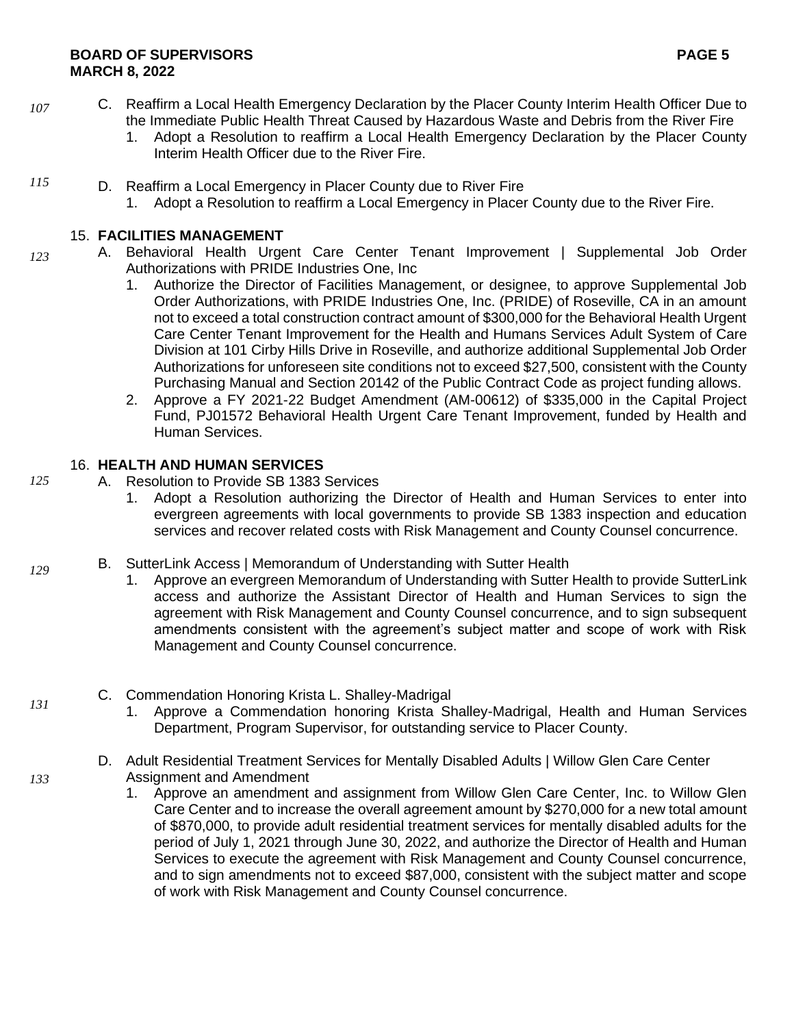- C. Reaffirm a Local Health Emergency Declaration by the Placer County Interim Health Officer Due to the Immediate Public Health Threat Caused by Hazardous Waste and Debris from the River Fire *107*
	- 1. Adopt a Resolution to reaffirm a Local Health Emergency Declaration by the Placer County Interim Health Officer due to the River Fire.
- D. Reaffirm a Local Emergency in Placer County due to River Fire *115*
	- 1. Adopt a Resolution to reaffirm a Local Emergency in Placer County due to the River Fire.

# 15. **FACILITIES MANAGEMENT**

- A. Behavioral Health Urgent Care Center Tenant Improvement | Supplemental Job Order Authorizations with PRIDE Industries One, Inc *123*
	- 1. Authorize the Director of Facilities Management, or designee, to approve Supplemental Job Order Authorizations, with PRIDE Industries One, Inc. (PRIDE) of Roseville, CA in an amount not to exceed a total construction contract amount of \$300,000 for the Behavioral Health Urgent Care Center Tenant Improvement for the Health and Humans Services Adult System of Care Division at 101 Cirby Hills Drive in Roseville, and authorize additional Supplemental Job Order Authorizations for unforeseen site conditions not to exceed \$27,500, consistent with the County Purchasing Manual and Section 20142 of the Public Contract Code as project funding allows.
	- 2. Approve a FY 2021-22 Budget Amendment (AM-00612) of \$335,000 in the Capital Project Fund, PJ01572 Behavioral Health Urgent Care Tenant Improvement, funded by Health and Human Services.

# 16. **HEALTH AND HUMAN SERVICES**

- A. Resolution to Provide SB 1383 Services
	- 1. Adopt a Resolution authorizing the Director of Health and Human Services to enter into evergreen agreements with local governments to provide SB 1383 inspection and education services and recover related costs with Risk Management and County Counsel concurrence.
- B. SutterLink Access | Memorandum of Understanding with Sutter Health
	- 1. Approve an evergreen Memorandum of Understanding with Sutter Health to provide SutterLink access and authorize the Assistant Director of Health and Human Services to sign the agreement with Risk Management and County Counsel concurrence, and to sign subsequent amendments consistent with the agreement's subject matter and scope of work with Risk Management and County Counsel concurrence.
	- C. Commendation Honoring Krista L. Shalley-Madrigal
		- 1. Approve a Commendation honoring Krista Shalley-Madrigal, Health and Human Services Department, Program Supervisor, for outstanding service to Placer County.
		- D. Adult Residential Treatment Services for Mentally Disabled Adults | Willow Glen Care Center Assignment and Amendment
			- 1. Approve an amendment and assignment from Willow Glen Care Center, Inc. to Willow Glen Care Center and to increase the overall agreement amount by \$270,000 for a new total amount of \$870,000, to provide adult residential treatment services for mentally disabled adults for the period of July 1, 2021 through June 30, 2022, and authorize the Director of Health and Human Services to execute the agreement with Risk Management and County Counsel concurrence, and to sign amendments not to exceed \$87,000, consistent with the subject matter and scope of work with Risk Management and County Counsel concurrence.

*131*

*133*

*125*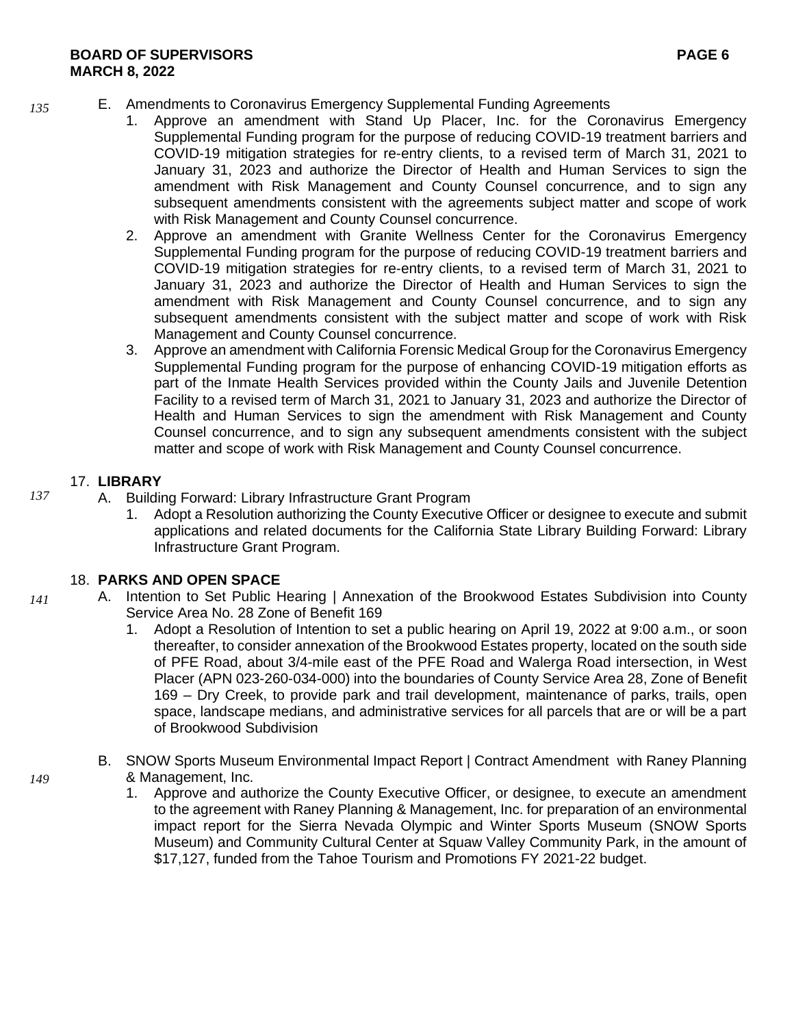- E. Amendments to Coronavirus Emergency Supplemental Funding Agreements
	- 1. Approve an amendment with Stand Up Placer, Inc. for the Coronavirus Emergency Supplemental Funding program for the purpose of reducing COVID-19 treatment barriers and COVID-19 mitigation strategies for re-entry clients, to a revised term of March 31, 2021 to January 31, 2023 and authorize the Director of Health and Human Services to sign the amendment with Risk Management and County Counsel concurrence, and to sign any subsequent amendments consistent with the agreements subject matter and scope of work with Risk Management and County Counsel concurrence.
	- 2. Approve an amendment with Granite Wellness Center for the Coronavirus Emergency Supplemental Funding program for the purpose of reducing COVID-19 treatment barriers and COVID-19 mitigation strategies for re-entry clients, to a revised term of March 31, 2021 to January 31, 2023 and authorize the Director of Health and Human Services to sign the amendment with Risk Management and County Counsel concurrence, and to sign any subsequent amendments consistent with the subject matter and scope of work with Risk Management and County Counsel concurrence.
	- 3. Approve an amendment with California Forensic Medical Group for the Coronavirus Emergency Supplemental Funding program for the purpose of enhancing COVID-19 mitigation efforts as part of the Inmate Health Services provided within the County Jails and Juvenile Detention Facility to a revised term of March 31, 2021 to January 31, 2023 and authorize the Director of Health and Human Services to sign the amendment with Risk Management and County Counsel concurrence, and to sign any subsequent amendments consistent with the subject matter and scope of work with Risk Management and County Counsel concurrence.

# 17. **LIBRARY**

- A. Building Forward: Library Infrastructure Grant Program
	- 1. Adopt a Resolution authorizing the County Executive Officer or designee to execute and submit applications and related documents for the California State Library Building Forward: Library Infrastructure Grant Program.

# 18. **PARKS AND OPEN SPACE**

- A. Intention to Set Public Hearing | Annexation of the Brookwood Estates Subdivision into County Service Area No. 28 Zone of Benefit 169
	- 1. Adopt a Resolution of Intention to set a public hearing on April 19, 2022 at 9:00 a.m., or soon thereafter, to consider annexation of the Brookwood Estates property, located on the south side of PFE Road, about 3/4-mile east of the PFE Road and Walerga Road intersection, in West Placer (APN 023-260-034-000) into the boundaries of County Service Area 28, Zone of Benefit 169 – Dry Creek, to provide park and trail development, maintenance of parks, trails, open space, landscape medians, and administrative services for all parcels that are or will be a part of Brookwood Subdivision
	- B. SNOW Sports Museum Environmental Impact Report | Contract Amendment with Raney Planning & Management, Inc.
		- 1. Approve and authorize the County Executive Officer, or designee, to execute an amendment to the agreement with Raney Planning & Management, Inc. for preparation of an environmental impact report for the Sierra Nevada Olympic and Winter Sports Museum (SNOW Sports Museum) and Community Cultural Center at Squaw Valley Community Park, in the amount of \$17,127, funded from the Tahoe Tourism and Promotions FY 2021-22 budget.

*135*

*137*

*141*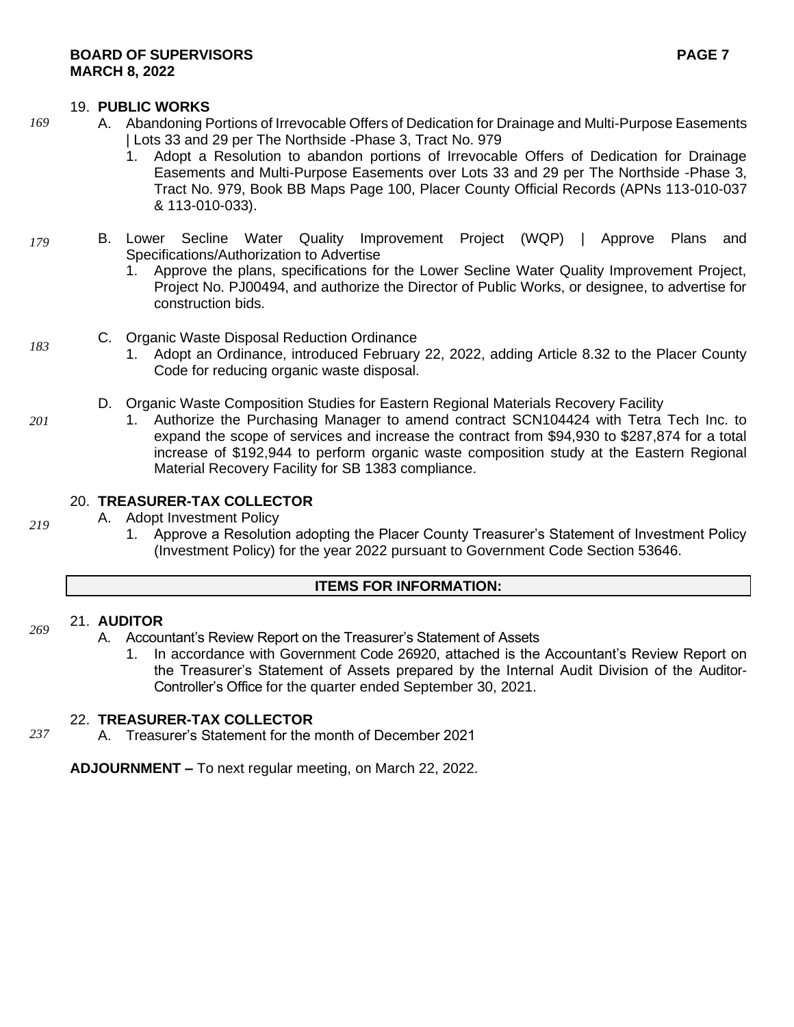#### 19. **PUBLIC WORKS**

- A. Abandoning Portions of Irrevocable Offers of Dedication for Drainage and Multi-Purpose Easements | Lots 33 and 29 per The Northside -Phase 3, Tract No. 979
	- 1. Adopt a Resolution to abandon portions of Irrevocable Offers of Dedication for Drainage Easements and Multi-Purpose Easements over Lots 33 and 29 per The Northside -Phase 3, Tract No. 979, Book BB Maps Page 100, Placer County Official Records (APNs 113-010-037 & 113-010-033).
- B. Lower Secline Water Quality Improvement Project (WQP) | Approve Plans and Specifications/Authorization to Advertise *179*
	- 1. Approve the plans, specifications for the Lower Secline Water Quality Improvement Project, Project No. PJ00494, and authorize the Director of Public Works, or designee, to advertise for construction bids.
	- C. Organic Waste Disposal Reduction Ordinance
		- 1. Adopt an Ordinance, introduced February 22, 2022, adding Article 8.32 to the Placer County Code for reducing organic waste disposal.
	- D. Organic Waste Composition Studies for Eastern Regional Materials Recovery Facility
		- 1. Authorize the Purchasing Manager to amend contract SCN104424 with Tetra Tech Inc. to expand the scope of services and increase the contract from \$94,930 to \$287,874 for a total increase of \$192,944 to perform organic waste composition study at the Eastern Regional Material Recovery Facility for SB 1383 compliance.

# 20. **TREASURER-TAX COLLECTOR**

- A. Adopt Investment Policy
	- 1. Approve a Resolution adopting the Placer County Treasurer's Statement of Investment Policy (Investment Policy) for the year 2022 pursuant to Government Code Section 53646.

#### **ITEMS FOR INFORMATION:**

#### 21. **AUDITOR** *269*

- A. Accountant's Review Report on the Treasurer's Statement of Assets
	- 1. In accordance with Government Code 26920, attached is the Accountant's Review Report on the Treasurer's Statement of Assets prepared by the Internal Audit Division of the Auditor-Controller's Office for the quarter ended September 30, 2021.

#### 22. **TREASURER-TAX COLLECTOR**

A. Treasurer's Statement for the month of December 2021 *237*

**ADJOURNMENT –** To next regular meeting, on March 22, 2022.

*183*

*169*

*201*